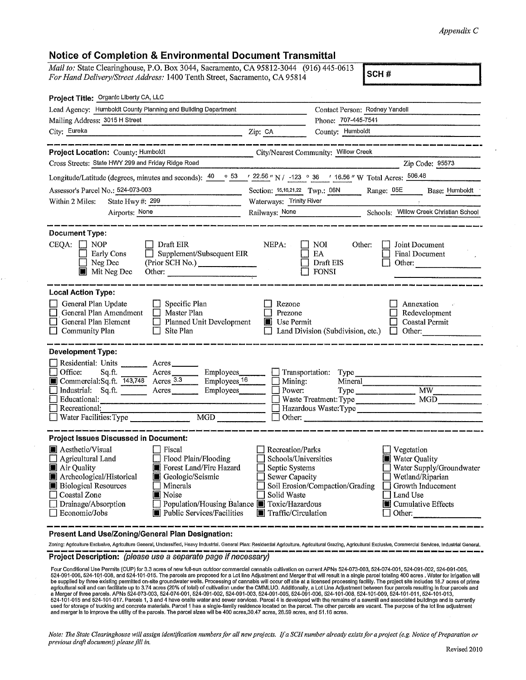## *Appendix* C

| <b>Notice of Completion &amp; Environmental Document Transmittal</b>                                                                                                                                                                                                                                                                                                                                                        |                                                                                                                                                                                                                                                                                                         |  |
|-----------------------------------------------------------------------------------------------------------------------------------------------------------------------------------------------------------------------------------------------------------------------------------------------------------------------------------------------------------------------------------------------------------------------------|---------------------------------------------------------------------------------------------------------------------------------------------------------------------------------------------------------------------------------------------------------------------------------------------------------|--|
| Mail to: State Clearinghouse, P.O. Box 3044, Sacramento, CA 95812-3044 (916) 445-0613<br>For Hand Delivery/Street Address: 1400 Tenth Street, Sacramento, CA 95814                                                                                                                                                                                                                                                          | SCH#                                                                                                                                                                                                                                                                                                    |  |
| Project Title: Organic Liberty CA, LLC                                                                                                                                                                                                                                                                                                                                                                                      |                                                                                                                                                                                                                                                                                                         |  |
| Lead Agency: Humboldt County Planning and Building Department                                                                                                                                                                                                                                                                                                                                                               | Contact Person: Rodney Yandell                                                                                                                                                                                                                                                                          |  |
| Mailing Address: 3015 H Street                                                                                                                                                                                                                                                                                                                                                                                              | Phone: 707-445-7541                                                                                                                                                                                                                                                                                     |  |
| City: Eureka<br><u> 1989 - Johann Stoff, fransk politik (d. 1989)</u><br>.<br>Then better weigh immli begin perke immer zernt werdi kepel isten diwat chant intext werd intext kelen krimt werd                                                                                                                                                                                                                             | Zip: CA<br>County: Humboldt<br>.<br>In the color cannot be detailed and an internal contract contract contract colors and an internal colors of th                                                                                                                                                      |  |
| Project Location: County: Humboldt                                                                                                                                                                                                                                                                                                                                                                                          | City/Nearest Community: Willow Creek                                                                                                                                                                                                                                                                    |  |
| Cross Streets: State HWY 299 and Friday Ridge Road                                                                                                                                                                                                                                                                                                                                                                          | Zip Code: 95573                                                                                                                                                                                                                                                                                         |  |
| Longitude/Latitude (degrees, minutes and seconds): $\frac{40}{53}$ $\frac{63}{122.56}$ N/ -123 $\circ$ 36 $\cdot$ 16.56 $\cdot$ W Total Acres: $\frac{506.48}{506.48}$                                                                                                                                                                                                                                                      |                                                                                                                                                                                                                                                                                                         |  |
| Assessor's Parcel No.: 524-073-003                                                                                                                                                                                                                                                                                                                                                                                          | Section: 15,16,21,22 Twp.: 06N Range: 05E<br>Base: Humboldt                                                                                                                                                                                                                                             |  |
| State Hwy $\#: 299$<br>Within 2 Miles:                                                                                                                                                                                                                                                                                                                                                                                      | Waterways: Trinity River                                                                                                                                                                                                                                                                                |  |
| Airports: None                                                                                                                                                                                                                                                                                                                                                                                                              | Schools: Willow Creek Christian School<br>Railways: None                                                                                                                                                                                                                                                |  |
| <b>Document Type:</b><br>CEQA:<br><b>NOP</b><br>Draft EIR<br>Supplement/Subsequent EIR<br>Early Cons<br>$\Box$<br>Neg Dec<br>(Prior SCH No.)<br>Mit Neg Dec                                                                                                                                                                                                                                                                 | NEPA:<br>Other:<br>NOI.<br>Joint Document<br>EA<br>Final Document<br>Draft EIS<br>Other:<br><b>FONSI</b>                                                                                                                                                                                                |  |
| <b>Local Action Type:</b><br>General Plan Update<br>Specific Plan<br>General Plan Amendment<br>$\Box$ Master Plan<br>General Plan Element<br>Planned Unit Development<br>Community Plan<br>Site Plan                                                                                                                                                                                                                        | Rezone<br>Annexation<br>Prezone<br>Redevelopment<br><b>Jose Permit</b><br><b>Coastal Permit</b><br>Land Division (Subdivision, etc.)<br>Other:<br>$\Box$                                                                                                                                                |  |
| <b>Development Type:</b><br>Residential: Units<br>Acres<br>Employees_<br>Office:<br>Acres<br>Sq.ft.<br>Commercial:Sq.ft. 143,748 Acres 3.3<br>Employees <sub>16</sub><br>Industrial: Sq.ft.<br>Employees_<br>Acres<br>Educational:<br>Recreational:<br>$\overline{\text{MGD}}$<br>Water Facilities: Type                                                                                                                    | $\Box$ Transportation:<br>Type<br>Mining:<br>Mineral<br><b>MW</b><br>Power:<br>Type<br>MGD<br>Waste Treatment: Type<br>Hazardous Waste:Type<br>Other:                                                                                                                                                   |  |
| <b>Project Issues Discussed in Document:</b><br>■ Aesthetic/Visual<br>Fiscal<br>Agricultural Land<br>Flood Plain/Flooding<br>Forest Land/Fire Hazard<br>Air Quality<br>Archeological/Historical<br>Geologic/Seismic<br><b>Biological Resources</b><br>Minerals<br>ш<br>■ Noise<br>Coastal Zone<br>Drainage/Absorption<br>Population/Housing Balance <b>T</b> Toxic/Hazardous<br>Economic/Jobs<br>Public Services/Facilities | Recreation/Parks<br>Vegetation<br>Schools/Universities<br>Water Quality<br>Septic Systems<br>Water Supply/Groundwater<br>Sewer Capacity<br>Wetland/Riparian<br>Soil Erosion/Compaction/Grading<br>Growth Inducement<br>Land Use<br>Solid Waste<br>■ Cumulative Effects<br>Traffic/Circulation<br>Other: |  |

**Present Land Use/Zoning/General Plan Designation:** 

y v

Zoning: Agriculture Exclusive, Agriculture General, Unclassified, Heavy Industrial. General Plan: Residential Agriculture, Agricultural Grazing, Agricultural Exclusive, Commercial Services, Industrial General.

## Project Description: (please use a separate page if necessary)

Four Conditional Use Permits (CUP) for 3.3 acres of new full-sun outdoor commercial cannabls cultivation on current APNs 524-073-003, 524-074-001, 524-091-002, 524-091-005, 524-091-005, 524-091-002, 524-091-005, 524-091-00

*Note: The State Clearinghouse will assign identification numbers for all new projects. If a SCH number already exists for a project (e.g. Notice of Preparation or previous drqft document) please fill in.*